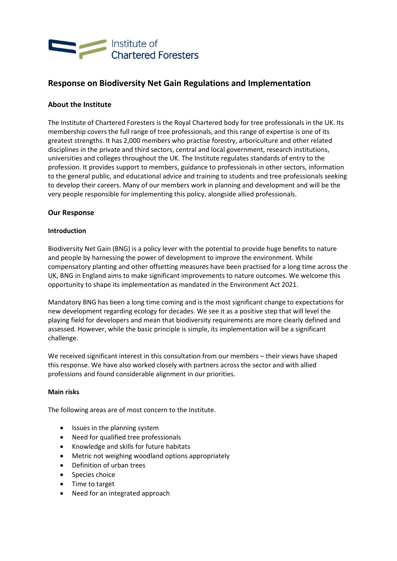

# Response on Biodiversity Net Gain Regulations and Implementation

# About the Institute

The Institute of Chartered Foresters is the Royal Chartered body for tree professionals in the UK. Its membership covers the full range of tree professionals, and this range of expertise is one of its greatest strengths. It has 2,000 members who practise forestry, arboriculture and other related disciplines in the private and third sectors, central and local government, research institutions, universities and colleges throughout the UK. The Institute regulates standards of entry to the profession. It provides support to members, guidance to professionals in other sectors, information to the general public, and educational advice and training to students and tree professionals seeking to develop their careers. Many of our members work in planning and development and will be the very people responsible for implementing this policy, alongside allied professionals.

## Our Response

## Introduction

Biodiversity Net Gain (BNG) is a policy lever with the potential to provide huge benefits to nature and people by harnessing the power of development to improve the environment. While compensatory planting and other offsetting measures have been practised for a long time across the UK, BNG in England aims to make significant improvements to nature outcomes. We welcome this opportunity to shape its implementation as mandated in the Environment Act 2021.

Mandatory BNG has been a long time coming and is the most significant change to expectations for new development regarding ecology for decades. We see it as a positive step that will level the playing field for developers and mean that biodiversity requirements are more clearly defined and assessed. However, while the basic principle is simple, its implementation will be a significant challenge.

We received significant interest in this consultation from our members – their views have shaped this response. We have also worked closely with partners across the sector and with allied professions and found considerable alignment in our priorities.

## Main risks

The following areas are of most concern to the Institute.

- Issues in the planning system
- Need for qualified tree professionals
- Knowledge and skills for future habitats
- Metric not weighing woodland options appropriately
- Definition of urban trees
- Species choice
- Time to target
- Need for an integrated approach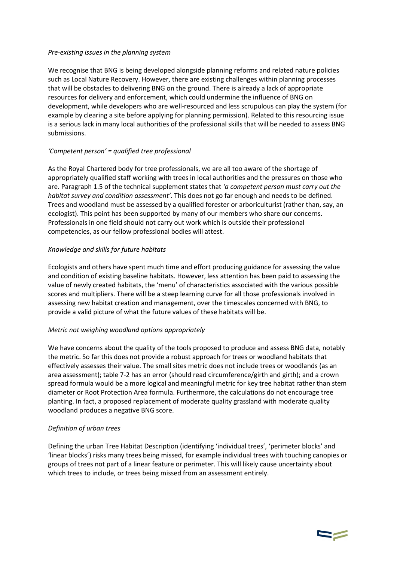## Pre-existing issues in the planning system

We recognise that BNG is being developed alongside planning reforms and related nature policies such as Local Nature Recovery. However, there are existing challenges within planning processes that will be obstacles to delivering BNG on the ground. There is already a lack of appropriate resources for delivery and enforcement, which could undermine the influence of BNG on development, while developers who are well-resourced and less scrupulous can play the system (for example by clearing a site before applying for planning permission). Related to this resourcing issue is a serious lack in many local authorities of the professional skills that will be needed to assess BNG submissions.

## 'Competent person' = qualified tree professional

As the Royal Chartered body for tree professionals, we are all too aware of the shortage of appropriately qualified staff working with trees in local authorities and the pressures on those who are. Paragraph 1.5 of the technical supplement states that 'a competent person must carry out the habitat survey and condition assessment'. This does not go far enough and needs to be defined. Trees and woodland must be assessed by a qualified forester or arboriculturist (rather than, say, an ecologist). This point has been supported by many of our members who share our concerns. Professionals in one field should not carry out work which is outside their professional competencies, as our fellow professional bodies will attest.

## Knowledge and skills for future habitats

Ecologists and others have spent much time and effort producing guidance for assessing the value and condition of existing baseline habitats. However, less attention has been paid to assessing the value of newly created habitats, the 'menu' of characteristics associated with the various possible scores and multipliers. There will be a steep learning curve for all those professionals involved in assessing new habitat creation and management, over the timescales concerned with BNG, to provide a valid picture of what the future values of these habitats will be.

## Metric not weighing woodland options appropriately

We have concerns about the quality of the tools proposed to produce and assess BNG data, notably the metric. So far this does not provide a robust approach for trees or woodland habitats that effectively assesses their value. The small sites metric does not include trees or woodlands (as an area assessment); table 7-2 has an error (should read circumference/girth and girth); and a crown spread formula would be a more logical and meaningful metric for key tree habitat rather than stem diameter or Root Protection Area formula. Furthermore, the calculations do not encourage tree planting. In fact, a proposed replacement of moderate quality grassland with moderate quality woodland produces a negative BNG score.

## Definition of urban trees

Defining the urban Tree Habitat Description (identifying 'individual trees', 'perimeter blocks' and 'linear blocks') risks many trees being missed, for example individual trees with touching canopies or groups of trees not part of a linear feature or perimeter. This will likely cause uncertainty about which trees to include, or trees being missed from an assessment entirely.

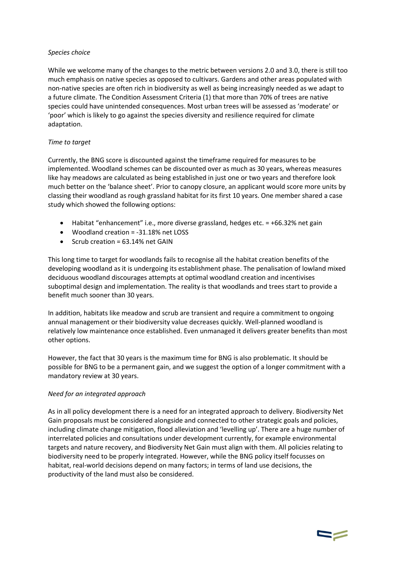## Species choice

While we welcome many of the changes to the metric between versions 2.0 and 3.0, there is still too much emphasis on native species as opposed to cultivars. Gardens and other areas populated with non-native species are often rich in biodiversity as well as being increasingly needed as we adapt to a future climate. The Condition Assessment Criteria (1) that more than 70% of trees are native species could have unintended consequences. Most urban trees will be assessed as 'moderate' or 'poor' which is likely to go against the species diversity and resilience required for climate adaptation.

# Time to target

Currently, the BNG score is discounted against the timeframe required for measures to be implemented. Woodland schemes can be discounted over as much as 30 years, whereas measures like hay meadows are calculated as being established in just one or two years and therefore look much better on the 'balance sheet'. Prior to canopy closure, an applicant would score more units by classing their woodland as rough grassland habitat for its first 10 years. One member shared a case study which showed the following options:

- $\bullet$  Habitat "enhancement" i.e., more diverse grassland, hedges etc. = +66.32% net gain
- Woodland creation = -31.18% net LOSS
- $\bullet$  Scrub creation = 63.14% net GAIN

This long time to target for woodlands fails to recognise all the habitat creation benefits of the developing woodland as it is undergoing its establishment phase. The penalisation of lowland mixed deciduous woodland discourages attempts at optimal woodland creation and incentivises suboptimal design and implementation. The reality is that woodlands and trees start to provide a benefit much sooner than 30 years.

In addition, habitats like meadow and scrub are transient and require a commitment to ongoing annual management or their biodiversity value decreases quickly. Well-planned woodland is relatively low maintenance once established. Even unmanaged it delivers greater benefits than most other options.

However, the fact that 30 years is the maximum time for BNG is also problematic. It should be possible for BNG to be a permanent gain, and we suggest the option of a longer commitment with a mandatory review at 30 years.

## Need for an integrated approach

As in all policy development there is a need for an integrated approach to delivery. Biodiversity Net Gain proposals must be considered alongside and connected to other strategic goals and policies, including climate change mitigation, flood alleviation and 'levelling up'. There are a huge number of interrelated policies and consultations under development currently, for example environmental targets and nature recovery, and Biodiversity Net Gain must align with them. All policies relating to biodiversity need to be properly integrated. However, while the BNG policy itself focusses on habitat, real-world decisions depend on many factors; in terms of land use decisions, the productivity of the land must also be considered.